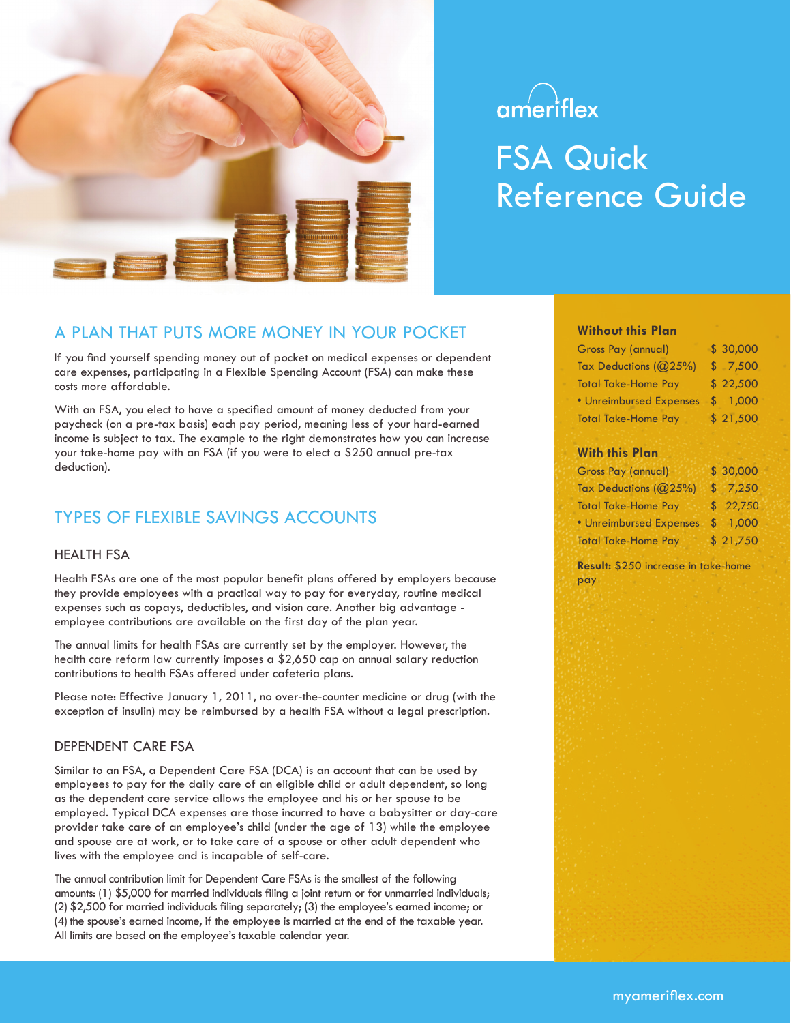

# ameriflex FSA Quick Reference Guide

## A PLAN THAT PUTS MORE MONEY IN YOUR POCKET

If you find yourself spending money out of pocket on medical expenses or dependent care expenses, participating in a Flexible Spending Account (FSA) can make these costs more affordable.

With an FSA, you elect to have a specified amount of money deducted from your paycheck (on a pre-tax basis) each pay period, meaning less of your hard-earned income is subject to tax. The example to the right demonstrates how you can increase your take-home pay with an FSA (if you were to elect a \$250 annual pre-tax deduction).

# TYPES OF FLEXIBLE SAVINGS ACCOUNTS

#### HEALTH FSA

Health FSAs are one of the most popular benefit plans offered by employers because they provide employees with a practical way to pay for everyday, routine medical expenses such as copays, deductibles, and vision care. Another big advantage employee contributions are available on the first day of the plan year.

The annual limits for health FSAs are currently set by the employer. However, the health care reform law currently imposes a \$2,650 cap on annual salary reduction contributions to health FSAs offered under cafeteria plans.

Please note: Effective January 1, 2011, no over-the-counter medicine or drug (with the exception of insulin) may be reimbursed by a health FSA without a legal prescription.

#### DEPENDENT CARE FSA

Similar to an FSA, a Dependent Care FSA (DCA) is an account that can be used by employees to pay for the daily care of an eligible child or adult dependent, so long as the dependent care service allows the employee and his or her spouse to be employed. Typical DCA expenses are those incurred to have a babysitter or day-care provider take care of an employee's child (under the age of 13) while the employee and spouse are at work, or to take care of a spouse or other adult dependent who lives with the employee and is incapable of self-care.

The annual contribution limit for Dependent Care FSAs is the smallest of the following amounts: (1) \$5,000 for married individuals filing a joint return or for unmarried individuals; (2) \$2,500 for married individuals filing separately; (3) the employee's earned income; or (4) the spouse's earned income, if the employee is married at the end of the taxable year. All limits are based on the employee's taxable calendar year.

#### **Without this Plan**

| Gross Pay (annual)             | \$30,000 |
|--------------------------------|----------|
| Tax Deductions (@25%)          | \$7,500  |
| <b>Total Take-Home Pay</b>     | \$22,500 |
| <b>• Unreimbursed Expenses</b> | \$1,000  |
| <b>Total Take-Home Pay</b>     | \$21,500 |

#### **With this Plan**

| <b>Gross Pay (annual)</b>      |                | \$30,000 |
|--------------------------------|----------------|----------|
| Tax Deductions $(Q25%)$        | \$             | 7,250    |
| <b>Total Take-Home Pay</b>     |                | \$22,750 |
| <b>• Unreimbursed Expenses</b> | $\mathbb{S}^-$ | 1,000    |
| <b>Total Take-Home Pay</b>     |                | \$21,750 |

**Result:** \$250 increase in take-home pay